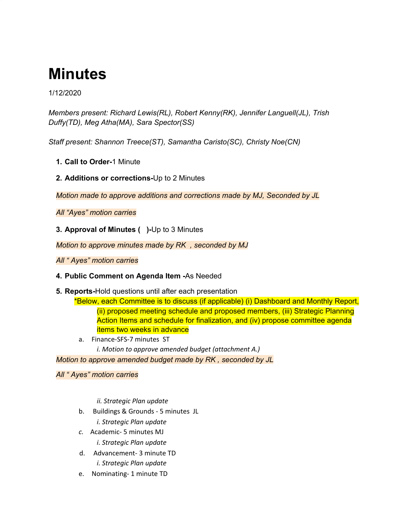# **Minutes**

1/12/2020

*Members present: Richard Lewis(RL), Robert Kenny(RK), Jennifer Languell(JL), Trish Duffy(TD), Meg Atha(MA), Sara Spector(SS)*

*Staff present: Shannon Treece(ST), Samantha Caristo(SC), Christy Noe(CN)*

- **1. Call to Order-**1 Minute
- **2. Additions or corrections-**Up to 2 Minutes

*Motion made to approve additions and corrections made by MJ, Seconded by JL*

*All "Ayes" motion carries*

**3. Approval of Minutes ( )-**Up to 3 Minutes

*Motion to approve minutes made by RK , seconded by MJ*

*All " Ayes" motion carries*

## **4. Public Comment on Agenda Item -**As Needed

**5. Reports-**Hold questions until after each presentation

\*Below, each Committee is to discuss (if applicable) (i) Dashboard and Monthly Report, (ii) proposed meeting schedule and proposed members, (iii) Strategic Planning Action Items and schedule for finalization, and (iv) propose committee agenda items two weeks in advance

a. Finance-SFS-7 minutes ST *i. Motion to approve amended budget (attachment A.)*

*Motion to approve amended budget made by RK , seconded by JL*

*All " Ayes" motion carries*

*ii. Strategic Plan update*

b. Buildings & Grounds - 5 minutes JL

*i. Strategic Plan update*

*c.* Academic- 5 minutes MJ

*i. Strategic Plan update*

- d. Advancement- 3 minute TD *i. Strategic Plan update*
- e. Nominating- 1 minute TD